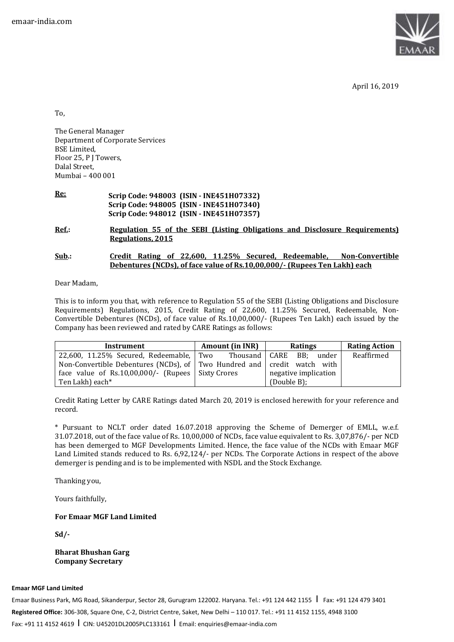

April 16, 2019

To,

The General Manager Department of Corporate Services BSE Limited, Floor 25, P J Towers, Dalal Street, Mumbai – 400 001

**Re: Scrip Code: 948003 (ISIN - INE451H07332) Scrip Code: 948005 (ISIN - INE451H07340) Scrip Code: 948012 (ISIN - INE451H07357)**

**Ref.: Regulation 55 of the SEBI (Listing Obligations and Disclosure Requirements) Regulations, 2015** 

#### **Sub.: Credit Rating of 22,600, 11.25% Secured, Redeemable, Non-Convertible Debentures (NCDs), of face value of Rs.10,00,000/- (Rupees Ten Lakh) each**

Dear Madam,

This is to inform you that, with reference to Regulation 55 of the SEBI (Listing Obligations and Disclosure Requirements) Regulations, 2015, Credit Rating of 22,600, 11.25% Secured, Redeemable, Non-Convertible Debentures (NCDs), of face value of Rs.10,00,000/- (Rupees Ten Lakh) each issued by the Company has been reviewed and rated by CARE Ratings as follows:

| <b>Instrument</b>                                                               | <b>Amount (in INR)</b> | <b>Ratings</b>               | <b>Rating Action</b> |
|---------------------------------------------------------------------------------|------------------------|------------------------------|----------------------|
| 22,600, 11.25% Secured, Redeemable, Two                                         |                        | Thousand   CARE BB;<br>under | Reaffirmed           |
| Non-Convertible Debentures (NCDs), of Two Hundred and $\vert$ credit watch with |                        |                              |                      |
| face value of $Rs.10,00,000/$ - (Rupees   Sixty Crores                          |                        | negative implication         |                      |
| Ten Lakh) each*                                                                 |                        | (Double B);                  |                      |

Credit Rating Letter by CARE Ratings dated March 20, 2019 is enclosed herewith for your reference and record.

\* Pursuant to NCLT order dated 16.07.2018 approving the Scheme of Demerger of EMLL, w.e.f. 31.07.2018, out of the face value of Rs. 10,00,000 of NCDs, face value equivalent to Rs. 3,07,876/- per NCD has been demerged to MGF Developments Limited. Hence, the face value of the NCDs with Emaar MGF Land Limited stands reduced to Rs. 6,92,124/- per NCDs. The Corporate Actions in respect of the above demerger is pending and is to be implemented with NSDL and the Stock Exchange.

Thanking you,

Yours faithfully,

### **For Emaar MGF Land Limited**

**Sd/-** 

**Bharat Bhushan Garg Company Secretary**

**Emaar MGF Land Limited** 

Emaar Business Park, MG Road, Sikanderpur, Sector 28, Gurugram 122002. Haryana. Tel.: +91 124 442 1155 | Fax: +91 124 479 3401 **Registered Office:** 306-308, Square One, C-2, District Centre, Saket, New Delhi – 110 017. Tel.: +91 11 4152 1155, 4948 3100 Fax: +91 11 4152 4619 I CIN: U45201DL2005PLC133161 I Email: enquiries@emaar-india.com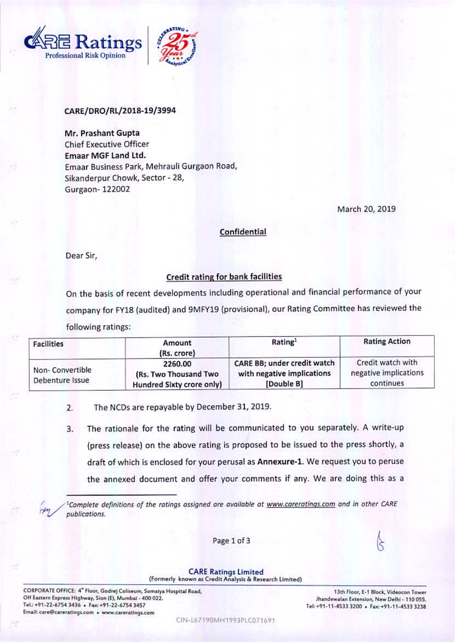



## CARE/DRO/RL/2018-19/3994

Mr. Prashant Gupta **Chief Executive Officer Emaar MGF Land Ltd.** Emaar Business Park, Mehrauli Gurgaon Road, Sikanderpur Chowk, Sector - 28, Gurgaon-122002

March 20, 2019

### Confidential

Dear Sir,

# Credit rating for bank facilities

On the basis of recent developments including operational and financial performance of your company for FY18 (audited) and 9MFY19 (provisional), our Rating Committee has reviewed the following ratings:

| <b>Facilities</b>                                                                                          | Amount<br>(Rs. crore) | Rating <sup>1</sup>                                                     | <b>Rating Action</b>                                    |
|------------------------------------------------------------------------------------------------------------|-----------------------|-------------------------------------------------------------------------|---------------------------------------------------------|
| 2260.00<br>Non-Convertible<br>(Rs. Two Thousand Two<br>Debenture Issue<br><b>Hundred Sixty crore only)</b> |                       | CARE BB; under credit watch<br>with negative implications<br>[Double B] | Credit watch with<br>negative implications<br>continues |

The NCDs are repayable by December 31, 2019.  $2.$ 

The rationale for the rating will be communicated to you separately. A write-up 3. (press release) on the above rating is proposed to be issued to the press shortly, a draft of which is enclosed for your perusal as Annexure-1. We request you to peruse the annexed document and offer your comments if any. We are doing this as a

<sup>1</sup>Complete definitions of the ratings assigned are available at www.careratings.com and in other CARE publications.

Page 1 of 3

#### **CARE Ratings Limited**

(Formerly known as Credit Analysis & Research Limited)

CORPORATE OFFICE: 4<sup>\*</sup> Floor, Godrej Coliseum, Somalya Hospital Road, Off Eastern Express Highway, Sion (E), Mumbai - 400 022. Tel.: +91-22-6754 3436 . Fax: +91-22-6754 3457 Email: care@careratings.com . www.careratings.com

13th Floor, E-1 Block, Videocon Tower Jhandewalan Extension, New Delhi - 110 055. Tel: +91-11-4533 3200 · Fax: +91-11-4533 3238

CIN-L67190MH1993PLC071691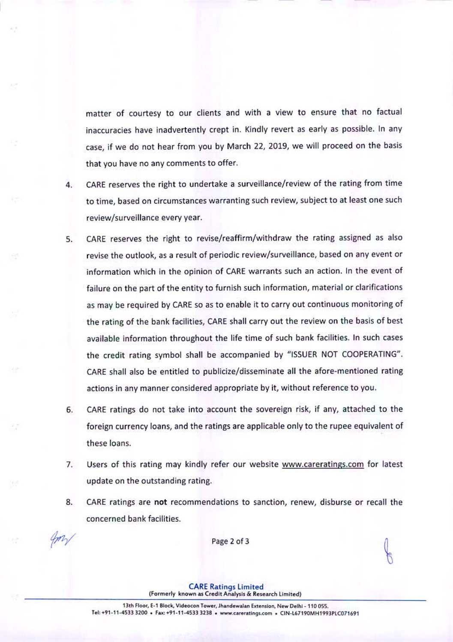matter of courtesy to our clients and with a view to ensure that no factual inaccuracies have inadvertently crept in. Kindly revert as early as possible. In any case, if we do not hear from you by March 22, 2019, we will proceed on the basis that you have no any comments to offer.

- CARE reserves the right to undertake a surveillance/review of the rating from time  $4.$ to time, based on circumstances warranting such review, subject to at least one such review/surveillance every year.
- CARE reserves the right to revise/reaffirm/withdraw the rating assigned as also  $5.$ revise the outlook, as a result of periodic review/surveillance, based on any event or information which in the opinion of CARE warrants such an action. In the event of failure on the part of the entity to furnish such information, material or clarifications as may be required by CARE so as to enable it to carry out continuous monitoring of the rating of the bank facilities, CARE shall carry out the review on the basis of best available information throughout the life time of such bank facilities. In such cases the credit rating symbol shall be accompanied by "ISSUER NOT COOPERATING". CARE shall also be entitled to publicize/disseminate all the afore-mentioned rating actions in any manner considered appropriate by it, without reference to you.
- CARE ratings do not take into account the sovereign risk, if any, attached to the 6. foreign currency loans, and the ratings are applicable only to the rupee equivalent of these loans.
- 7. Users of this rating may kindly refer our website www.careratings.com for latest update on the outstanding rating.
- 8. CARE ratings are not recommendations to sanction, renew, disburse or recall the concerned bank facilities.

Page 2 of 3

**CARE Ratings Limited** (Formerly known as Credit Analysis & Research Limited)